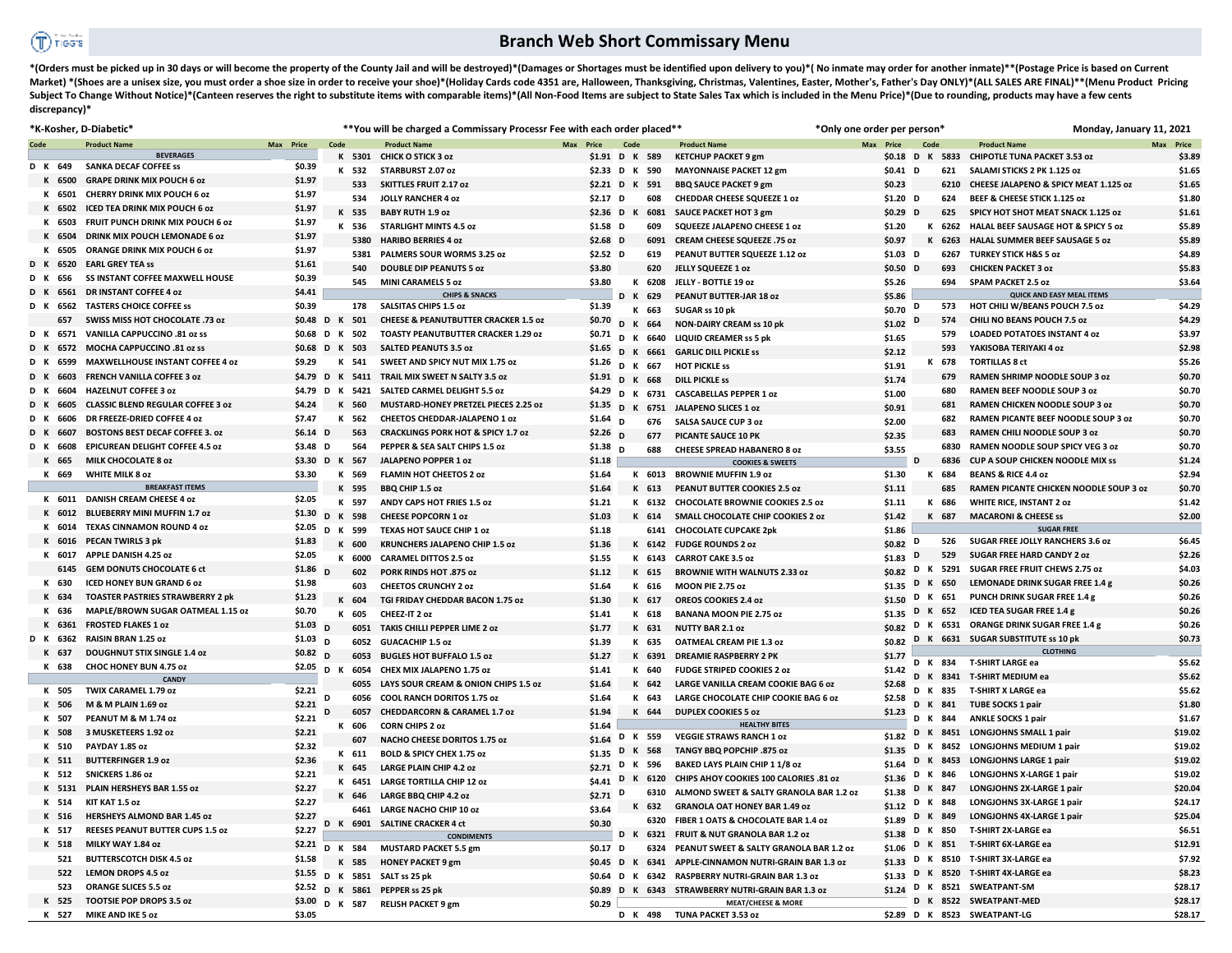## **Branch Web Short Commissary Menu**

\*(Orders must be picked up in 30 days or will become the property of the County Jail and will be destroyed)\*(Damages or Shortages must be identified upon delivery to you)\*(No inmate may order for another inmate)\*\*(Postage Market) \*(Shoes are a unisex size, you must order a shoe size in order to receive your shoe)\*(Holiday Cards code 4351 are, Halloween, Thanksgiving, Christmas, Valentines, Easter, Mother's, Father's Day ONLY)\*(ALL SALES ARE Subject To Change Without Notice)\*(Canteen reserves the right to substitute items with comparable items)\*(All Non-Food Items are subject to State Sales Tax which is included in the Menu Price)\*(Due to rounding, products ma **discrepancy)\*** 

|             |      | *K-Kosher, D-Diabetic*                   |                 |                |        | ** You will be charged a Commissary Processr Fee with each order placed** |           |                         |                   |        |                                         | *Only one order per person* |           |      |         | Monday, January 11, 2021                      |           |
|-------------|------|------------------------------------------|-----------------|----------------|--------|---------------------------------------------------------------------------|-----------|-------------------------|-------------------|--------|-----------------------------------------|-----------------------------|-----------|------|---------|-----------------------------------------------|-----------|
| Code        |      | <b>Product Name</b>                      | Max Price       | Code           |        | <b>Product Name</b>                                                       | Max Price |                         | Code              |        | <b>Product Name</b>                     | Max Price                   |           | Code |         | <b>Product Name</b>                           | Max Price |
|             |      | <b>BEVERAGES</b>                         |                 |                |        | K 5301 CHICK O STICK 3 oz                                                 |           | \$1.91 D K 589          |                   |        | <b>KETCHUP PACKET 9 gm</b>              |                             |           |      |         | \$0.18 D K 5833 CHIPOTLE TUNA PACKET 3.53 oz  | \$3.89    |
| D K 649     |      | <b>SANKA DECAF COFFEE SS</b>             | \$0.39          |                | K 532  | STARBURST 2.07 oz                                                         |           | \$2.33 D K 590          |                   |        | <b>MAYONNAISE PACKET 12 gm</b>          |                             | $$0.41$ D |      | 621     | SALAMI STICKS 2 PK 1.125 oz                   | \$1.65    |
| K 6500      |      | <b>GRAPE DRINK MIX POUCH 6 oz</b>        | \$1.97          |                | 533    | <b>SKITTLES FRUIT 2.17 oz</b>                                             |           | \$2.21 D K 591          |                   |        | <b>BBQ SAUCE PACKET 9 gm</b>            | \$0.23                      |           |      | 6210    | CHEESE JALAPENO & SPICY MEAT 1.125 oz         | \$1.65    |
| K 6501      |      | CHERRY DRINK MIX POUCH 6 oz              | \$1.97          |                | 534    | <b>JOLLY RANCHER 4 oz</b>                                                 |           | $$2.17$ D               |                   | 608    | <b>CHEDDAR CHEESE SQUEEZE 1 oz</b>      |                             | $$1.20$ D |      | 624     | BEEF & CHEESE STICK 1.125 oz                  | \$1.80    |
| K 6502      |      | ICED TEA DRINK MIX POUCH 6 oz            | \$1.97          |                | K 535  | <b>BABY RUTH 1.9 oz</b>                                                   |           | \$2.36 D K              |                   | 6081   | SAUCE PACKET HOT 3 gm                   |                             | $$0.29$ D |      | 625     | SPICY HOT SHOT MEAT SNACK 1.125 oz            | \$1.61    |
| K 6503      |      | FRUIT PUNCH DRINK MIX POUCH 6 oz         | \$1.97          |                | K 536  | <b>STARLIGHT MINTS 4.5 oz</b>                                             |           | $$1.58$ D               |                   | 609    | SQUEEZE JALAPENO CHEESE 1 oz            | \$1.20                      |           |      | K 6262  | HALAL BEEF SAUSAGE HOT & SPICY 5 oz           | \$5.89    |
| K 6504      |      | <b>DRINK MIX POUCH LEMONADE 6 oz</b>     | \$1.97          |                | 5380   | <b>HARIBO BERRIES 4 oz</b>                                                |           | $$2.68$ D               |                   | 6091   | CREAM CHEESE SQUEEZE .75 oz             | \$0.97                      |           |      | K 6263  | HALAL SUMMER BEEF SAUSAGE 5 oz                | \$5.89    |
|             | 6505 | ORANGE DRINK MIX POUCH 6 oz              | \$1.97          |                | 5381   | PALMERS SOUR WORMS 3.25 oz                                                |           | $$2.52$ D               |                   | 619    | PEANUT BUTTER SQUEEZE 1.12 oz           |                             | $$1.03$ D |      | 6267    | <b>TURKEY STICK H&amp;S 5 oz</b>              | \$4.89    |
| D K 6520    |      | <b>EARL GREY TEA SS</b>                  | \$1.61          |                | 540    | <b>DOUBLE DIP PEANUTS 5 0Z</b>                                            |           | \$3.80                  |                   | 620    | JELLY SQUEEZE 1 02                      |                             | $$0.50$ D |      | 693     | <b>CHICKEN PACKET 3 oz</b>                    | \$5.83    |
| 656         |      | <b>SS INSTANT COFFEE MAXWELL HOUSE</b>   | \$0.39          |                | 545    | <b>MINI CARAMELS 5 oz</b>                                                 |           | \$3.80                  |                   | K 6208 | JELLY - BOTTLE 19 oz                    | \$5.26                      |           |      | 694     | <b>SPAM PACKET 2.5 oz</b>                     | \$3.64    |
|             | 6561 | <b>DR INSTANT COFFEE 4 oz</b>            | \$4.41          |                |        | <b>CHIPS &amp; SNACKS</b>                                                 |           |                         | D K 629           |        | PEANUT BUTTER-JAR 18 oz                 | \$5.86                      |           |      |         | <b>QUICK AND EASY MEAL ITEMS</b>              |           |
| D K 6562    |      | <b>TASTERS CHOICE COFFEE SS</b>          | \$0.39          |                | 178    | <b>SALSITAS CHIPS 1.5 oz</b>                                              |           | \$1.39                  | К                 | 663    | SUGAR ss 10 pk                          | $$0.70$ D                   |           |      | 573     | <b>HOT CHILI W/BEANS POUCH 7.5 oz</b>         | \$4.29    |
| 657         |      | SWISS MISS HOT CHOCOLATE .73 oz          | \$0.48 D K      |                | 501    | <b>CHEESE &amp; PEANUTBUTTER CRACKER 1.5 oz</b>                           |           | \$0.70                  | D <sub>K</sub>    | 664    | <b>NON-DAIRY CREAM ss 10 pk</b>         | \$1.02                      | D         |      | 574     | <b>CHILI NO BEANS POUCH 7.5 oz</b>            | \$4.29    |
| D K         |      | 6571 VANILLA CAPPUCCINO .81 oz ss        | \$0.68          | D K 502        |        | <b>TOASTY PEANUTBUTTER CRACKER 1.29 oz</b>                                |           | \$0.71                  | D K               | 6640   | <b>LIQUID CREAMER ss 5 pk</b>           | \$1.65                      |           |      | 579     | <b>LOADED POTATOES INSTANT 4 oz</b>           | \$3.97    |
| D K         | 6572 | MOCHA CAPPUCCINO .81 oz ss               | \$0.68 D K      |                | 503    | <b>SALTED PEANUTS 3.5 oz</b>                                              |           | $$1.65$ D               | $\mathsf{K}$      | 6661   | <b>GARLIC DILL PICKLE SS</b>            | \$2.12                      |           |      | 593     | YAKISOBA TERIYAKI 4 oz                        | \$2.98    |
| 6599        |      | <b>MAXWELLHOUSE INSTANT COFFEE 4 oz</b>  | \$9.29          | К              | 541    | SWEET AND SPICY NUT MIX 1.75 oz                                           |           | \$1.26 $\overline{D}$ K |                   | 667    | <b>HOT PICKLE SS</b>                    | \$1.91                      |           |      | K 678   | <b>TORTILLAS 8 ct</b>                         | \$5.26    |
|             | 6603 | <b>FRENCH VANILLA COFFEE 3 oz</b>        | \$4.79 D K 5411 |                |        | TRAIL MIX SWEET N SALTY 3.5 oz                                            |           | $$1.91$ D K             |                   | 668    | <b>DILL PICKLE SS</b>                   | \$1.74                      |           |      | 679     | <b>RAMEN SHRIMP NOODLE SOUP 3 oz</b>          | \$0.70    |
| 6604<br>D K |      | <b>HAZELNUT COFFEE 3 oz</b>              | \$4.79 D K 5421 |                |        | <b>SALTED CARMEL DELIGHT 5.5 oz</b>                                       |           | \$4.29 $\overline{D}$ K |                   | 6731   | <b>CASCABELLAS PEPPER 1 oz</b>          | \$1.00                      |           |      | 680     | <b>RAMEN BEEF NOODLE SOUP 3 oz</b>            | \$0.70    |
|             | 6605 | <b>CLASSIC BLEND REGULAR COFFEE 3 0Z</b> | \$4.24          |                | K 560  | MUSTARD-HONEY PRETZEL PIECES 2.25 oz                                      |           | \$1.35                  | D<br>$\mathsf{K}$ |        | 6751 JALAPENO SLICES 1 oz               | \$0.91                      |           |      | 681     | RAMEN CHICKEN NOODLE SOUP 3 oz                | \$0.70    |
|             | 6606 | DR FREEZE-DRIED COFFEE 4 oz              | \$7.47          | к              | 562    | CHEETOS CHEDDAR-JALAPENO 1 oz                                             |           | $$1.64$ D               |                   | 676    | <b>SALSA SAUCE CUP 3 oz</b>             | \$2.00                      |           |      | 682     | RAMEN PICANTE BEEF NOODLE SOUP 3 oz           | \$0.70    |
| 6607        |      | <b>BOSTONS BEST DECAF COFFEE 3. oz</b>   | $$6.14$ D       |                | 563    | <b>CRACKLINGS PORK HOT &amp; SPICY 1.7 oz</b>                             |           | $$2.26$ D               |                   | 677    | PICANTE SAUCE 10 PK                     | \$2.35                      |           |      | 683     | <b>RAMEN CHILI NOODLE SOUP 3 0Z</b>           | \$0.70    |
| 6608<br>DK. |      | <b>EPICUREAN DELIGHT COFFEE 4.5 oz</b>   | \$3.48 D        |                | 564    | PEPPER & SEA SALT CHIPS 1.5 oz                                            |           | \$1.38                  | <sub>D</sub>      | 688    | <b>CHEESE SPREAD HABANERO 8 oz</b>      | \$3.55                      |           |      | 6830    | RAMEN NOODLE SOUP SPICY VEG 3 oz              | \$0.70    |
| K 665       |      | <b>MILK CHOCOLATE 8 oz</b>               | \$3.30 D K 567  |                |        | JALAPENO POPPER 1 02                                                      |           | \$1.18                  |                   |        | <b>COOKIES &amp; SWEETS</b>             |                             | D         |      | 6836    | <b>CUP A SOUP CHICKEN NOODLE MIX SS</b>       | \$1.24    |
| K 669       |      | <b>WHITE MILK 8 oz</b>                   | \$3.30          |                | K 569  | <b>FLAMIN HOT CHEETOS 2 oz</b>                                            |           | \$1.64                  |                   | K 6013 | <b>BROWNIE MUFFIN 1.9 oz</b>            | \$1.30                      |           |      | K 684   | <b>BEANS &amp; RICE 4.4 oz</b>                | \$2.94    |
|             |      | <b>BREAKFAST ITEMS</b>                   |                 |                | K 595  | <b>BBO CHIP 1.5 oz</b>                                                    |           | \$1.64                  |                   | K 613  | <b>PEANUT BUTTER COOKIES 2.5 oz</b>     | \$1.11                      |           |      | 685     | <b>RAMEN PICANTE CHICKEN NOODLE SOUP 3 OZ</b> | \$0.70    |
|             |      | K 6011 DANISH CREAM CHEESE 4 oz          | \$2.05          |                | K 597  | ANDY CAPS HOT FRIES 1.5 oz                                                |           | \$1.21                  |                   | K 6132 | <b>CHOCOLATE BROWNIE COOKIES 2.5 oz</b> | \$1.11                      |           |      | K 686   | <b>WHITE RICE, INSTANT 2 oz</b>               | \$1.42    |
|             |      | K 6012 BLUEBERRY MINI MUFFIN 1.7 oz      | \$1.30          | D K 598        |        | <b>CHEESE POPCORN 1 oz</b>                                                |           | \$1.03                  |                   | K 614  | SMALL CHOCOLATE CHIP COOKIES 2 oz       | \$1.42                      |           |      | K 687   | <b>MACARONI &amp; CHEESE ss</b>               | \$2.00    |
| K 6014      |      | <b>TEXAS CINNAMON ROUND 4 oz</b>         | \$2.05          | D K 599        |        | <b>TEXAS HOT SAUCE CHIP 1 oz</b>                                          |           | \$1.18                  |                   |        | 6141 CHOCOLATE CUPCAKE 2pk              | \$1.86                      |           |      |         | <b>SUGAR FREE</b>                             |           |
| K 6016      |      | <b>PECAN TWIRLS 3 pk</b>                 | \$1.83          | K              | 600    | <b>KRUNCHERS JALAPENO CHIP 1.5 oz</b>                                     |           | \$1.36                  |                   | K 6142 | <b>FUDGE ROUNDS 2 oz</b>                | \$0.82 D                    |           |      | 526     | SUGAR FREE JOLLY RANCHERS 3.6 oz              | \$6.45    |
| K 6017      |      | APPLE DANISH 4.25 oz                     | \$2.05          |                | K 6000 | <b>CARAMEL DITTOS 2.5 oz</b>                                              |           | \$1.55                  |                   | K 6143 | <b>CARROT CAKE 3.5 oz</b>               | \$1.83                      | D         |      | 529     | <b>SUGAR FREE HARD CANDY 2 oz</b>             | \$2.26    |
|             | 6145 | <b>GEM DONUTS CHOCOLATE 6 ct</b>         | \$1.86          | $\mathbf{D}$   | 602    | PORK RINDS HOT .875 oz                                                    |           | \$1.12                  |                   | K 615  | <b>BROWNIE WITH WALNUTS 2.33 oz</b>     | \$0.82                      | D         |      |         | K 5291 SUGAR FREE FRUIT CHEWS 2.75 oz         | \$4.03    |
| K 630       |      | <b>ICED HONEY BUN GRAND 6 oz</b>         | \$1.98          |                | 603    | <b>CHEETOS CRUNCHY 2 oz</b>                                               |           | \$1.64                  |                   | K 616  | <b>MOON PIE 2.75 oz</b>                 | \$1.35                      | D         |      | K 650   | LEMONADE DRINK SUGAR FREE 1.4 g               | \$0.26    |
| K 634       |      | <b>TOASTER PASTRIES STRAWBERRY 2 pk</b>  | \$1.23          |                | K 604  | TGI FRIDAY CHEDDAR BACON 1.75 oz                                          |           | \$1.30                  |                   | K 617  | OREOS COOKIES 2.4 oz                    | \$1.50                      | D         |      | K 651   | PUNCH DRINK SUGAR FREE 1.4 g                  | \$0.26    |
| K 636       |      | MAPLE/BROWN SUGAR OATMEAL 1.15 oz        | \$0.70          | к              | 605    | CHEEZ-IT 2 oz                                                             |           | \$1.41                  |                   | K 618  | <b>BANANA MOON PIE 2.75 oz</b>          | \$1.35                      |           |      | D K 652 | <b>ICED TEA SUGAR FREE 1.4 g</b>              | \$0.26    |
| 6361        |      | <b>FROSTED FLAKES 1 oz</b>               | $$1.03$ D       |                | 6051   | TAKIS CHILLI PEPPER LIME 2 oz                                             |           | \$1.77                  |                   | K 631  | <b>NUTTY BAR 2.1 oz</b>                 | \$0.82                      |           |      |         | D K 6531 ORANGE DRINK SUGAR FREE 1.4 g        | \$0.26    |
| D K 6362    |      | RAISIN BRAN 1.25 oz                      | \$1.03          | D              | 6052   | <b>GUACACHIP 1.5 oz</b>                                                   |           | \$1.39                  |                   | K 635  | <b>OATMEAL CREAM PIE 1.3 oz</b>         | \$0.82                      |           |      |         | D K 6631 SUGAR SUBSTITUTE ss 10 pk            | \$0.73    |
| K 637       |      | <b>DOUGHNUT STIX SINGLE 1.4 oz</b>       | \$0.82          | D              | 6053   | <b>BUGLES HOT BUFFALO 1.5 oz</b>                                          |           | \$1.27                  |                   | K 6391 | <b>DREAMIE RASPBERRY 2 PK</b>           | \$1.77                      |           |      |         | <b>CLOTHING</b>                               |           |
| K 638       |      | CHOC HONEY BUN 4.75 oz                   | \$2.05          | D <sub>K</sub> | 6054   | CHEX MIX JALAPENO 1.75 oz                                                 |           | \$1.41                  |                   | K 640  | <b>FUDGE STRIPED COOKIES 2 oz</b>       | \$1.42                      |           |      | D K 834 | <b>T-SHIRT LARGE ea</b>                       | \$5.62    |
|             |      | <b>CANDY</b>                             |                 |                | 6055   | LAYS SOUR CREAM & ONION CHIPS 1.5 oz                                      |           | \$1.64                  |                   | K 642  | LARGE VANILLA CREAM COOKIE BAG 6 oz     | \$2.68                      |           |      |         | D K 8341 T-SHIRT MEDIUM ea                    | \$5.62    |
| K 505       |      | TWIX CARAMEL 1.79 oz                     | \$2.21          | D              | 6056   | COOL RANCH DORITOS 1.75 oz                                                |           | \$1.64                  |                   | K 643  | LARGE CHOCOLATE CHIP COOKIE BAG 6 oz    | \$2.58                      |           |      | D K 835 | T-SHIRT X LARGE ea                            | \$5.62    |
| K 506       |      | M & M PLAIN 1.69 oz                      | \$2.21          |                | 6057   | <b>CHEDDARCORN &amp; CARAMEL 1.7 oz</b>                                   |           | \$1.94                  |                   | K 644  | <b>DUPLEX COOKIES 5 oz</b>              | \$1.23                      |           |      | D K 841 | TUBE SOCKS 1 pair                             | \$1.80    |
| K 507       |      | PEANUT M & M 1.74 oz                     | \$2.21          |                | K 606  | <b>CORN CHIPS 2 oz</b>                                                    |           | \$1.64                  |                   |        | <b>HEALTHY BITES</b>                    |                             |           |      | D K 844 | <b>ANKLE SOCKS 1 pair</b>                     | \$1.67    |
| K 508       |      | 3 MUSKETEERS 1.92 oz                     | \$2.21          |                | 607    | NACHO CHEESE DORITOS 1.75 oz                                              |           | \$1.64                  | D                 | K 559  | <b>VEGGIE STRAWS RANCH 1 oz</b>         | \$1.82                      | D         |      |         | K 8451 LONGJOHNS SMALL 1 pair                 | \$19.02   |
| K 510       |      | PAYDAY 1.85 oz                           | \$2.32          |                | K 611  | BOLD & SPICY CHEX 1.75 oz                                                 |           | \$1.35                  | D                 | K 568  | TANGY BBQ POPCHIP .875 oz               | \$1.35                      | D         |      |         | K 8452 LONGJOHNS MEDIUM 1 pair                | \$19.02   |
| K 511       |      | <b>BUTTERFINGER 1.9 oz</b>               | \$2.36          |                | K 645  | <b>LARGE PLAIN CHIP 4.2 oz</b>                                            |           | \$2.71                  | D                 | K 596  | BAKED LAYS PLAIN CHIP 1 1/8 oz          | \$1.64                      | D         |      |         | K 8453 LONGJOHNS LARGE 1 pair                 | \$19.02   |
| K 512       |      | <b>SNICKERS 1.86 oz</b>                  | \$2.21          |                | K 6451 | <b>LARGE TORTILLA CHIP 12 oz</b>                                          |           | \$4.41                  | D<br>K            | 6120   | CHIPS AHOY COOKIES 100 CALORIES .81 oz  | \$1.36                      | D         |      | K 846   | <b>LONGJOHNS X-LARGE 1 pair</b>               | \$19.02   |
| K 5131      |      | PLAIN HERSHEYS BAR 1.55 oz               | \$2.27          |                | K 646  | <b>LARGE BBQ CHIP 4.2 oz</b>                                              |           | \$2.71                  | D                 | 6310   | ALMOND SWEET & SALTY GRANOLA BAR 1.2 oz | \$1.38                      |           |      | D K 847 | <b>LONGJOHNS 2X-LARGE 1 pair</b>              | \$20.04   |
| K 514       |      | KIT KAT 1.5 oz                           | \$2.27          |                | 6461   | <b>LARGE NACHO CHIP 10 oz</b>                                             |           | \$3.64                  |                   | K 632  | <b>GRANOLA OAT HONEY BAR 1.49 oz</b>    | \$1.12                      |           |      | D K 848 | <b>LONGJOHNS 3X-LARGE 1 pair</b>              | \$24.17   |
| K 516       |      | <b>HERSHEYS ALMOND BAR 1.45 oz</b>       | \$2.27          | D K 6901       |        | <b>SALTINE CRACKER 4 ct</b>                                               |           | \$0.30                  |                   | 6320   | FIBER 1 OATS & CHOCOLATE BAR 1.4 oz     | \$1.89                      |           |      | D K 849 | <b>LONGJOHNS 4X-LARGE 1 pair</b>              | \$25.04   |
| K 517       |      | <b>REESES PEANUT BUTTER CUPS 1.5 oz</b>  | \$2.27          |                |        | <b>CONDIMENTS</b>                                                         |           |                         |                   |        | D K 6321 FRUIT & NUT GRANOLA BAR 1.2 oz | \$1.38                      | D         |      | K 850   | <b>T-SHIRT 2X-LARGE ea</b>                    | \$6.51    |
| K 518       |      | MILKY WAY 1.84 oz                        | \$2.21          | D K            | 584    | <b>MUSTARD PACKET 5.5 gm</b>                                              |           | $$0.17$ D               |                   | 6324   | PEANUT SWEET & SALTY GRANOLA BAR 1.2 oz | \$1.06                      | D         |      |         | K 851 T-SHIRT 6X-LARGE ea                     | \$12.91   |
| 521         |      | <b>BUTTERSCOTCH DISK 4.5 oz</b>          | \$1.58          |                | K 585  | <b>HONEY PACKET 9 gm</b>                                                  |           | $$0.45$ D               | K                 | 6341   | APPLE-CINNAMON NUTRI-GRAIN BAR 1.3 oz   | \$1.33                      |           |      |         | D K 8510 T-SHIRT 3X-LARGE ea                  | \$7.92    |
| 522         |      | <b>LEMON DROPS 4.5 oz</b>                |                 |                |        | \$1.55 D K 5851 SALT ss 25 pk                                             |           | \$0.64 D                | K                 | 6342   | <b>RASPBERRY NUTRI-GRAIN BAR 1.3 oz</b> | \$1.33                      |           |      |         | D K 8520 T-SHIRT 4X-LARGE ea                  | \$8.23    |
| 523         |      | <b>ORANGE SLICES 5.5 oz</b>              | \$2.52          | D K            | 5861   | PEPPER ss 25 pk                                                           |           | \$0.89 D K 6343         |                   |        | STRAWBERRY NUTRI-GRAIN BAR 1.3 oz       | \$1.24                      |           |      |         | D K 8521 SWEATPANT-SM                         | \$28.17   |
| K 525       |      | <b>TOOTSIE POP DROPS 3.5 oz</b>          | \$3.00          | D K 587        |        | <b>RELISH PACKET 9 gm</b>                                                 |           | \$0.29                  |                   |        | <b>MEAT/CHEESE &amp; MORE</b>           |                             |           |      |         | D K 8522 SWEATPANT-MED                        | \$28.17   |
| K 527       |      | <b>MIKE AND IKE 5 oz</b>                 | \$3.05          |                |        |                                                                           |           |                         |                   |        | D K 498 TUNA PACKET 3.53 oz             |                             |           |      |         | \$2.89 D K 8523 SWEATPANT-LG                  | \$28.17   |